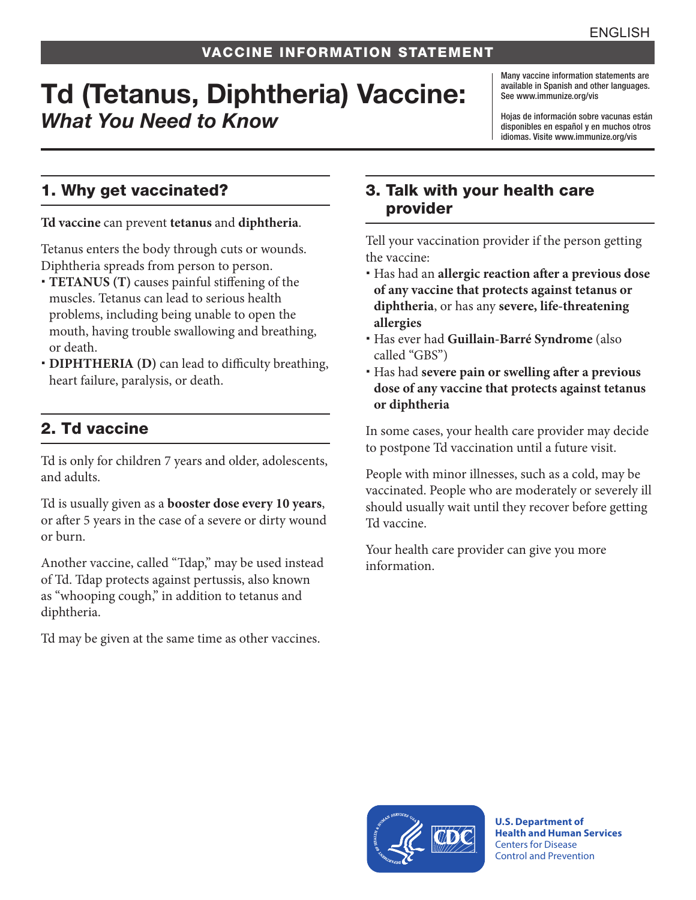# Td (Tetanus, Diphtheria) Vaccine: *What You Need to Know*

Many vaccine information statements are available in Spanish and other languages. See [www.immunize.org/vis](http://www.immunize.org/vis)

Hojas de información sobre vacunas están disponibles en español y en muchos otros idiomas. Visite [www.immunize.org/vis](http://www.immunize.org/vis)

### 1. Why get vaccinated?

**Td vaccine** can prevent **tetanus** and **diphtheria**.

Tetanus enters the body through cuts or wounds. Diphtheria spreads from person to person.

- **TETANUS (T)** causes painful stiffening of the muscles. Tetanus can lead to serious health problems, including being unable to open the mouth, having trouble swallowing and breathing, or death.
- **DIPHTHERIA (D)** can lead to difficulty breathing, heart failure, paralysis, or death.

# 2. Td vaccine

Td is only for children 7 years and older, adolescents, and adults.

Td is usually given as a **booster dose every 10 years**, or after 5 years in the case of a severe or dirty wound or burn.

Another vaccine, called "Tdap," may be used instead of Td. Tdap protects against pertussis, also known as "whooping cough," in addition to tetanus and diphtheria.

Td may be given at the same time as other vaccines.

#### 3. Talk with your health care provider

Tell your vaccination provider if the person getting the vaccine:

- Has had an **allergic reaction after a previous dose of any vaccine that protects against tetanus or diphtheria**, or has any **severe, life-threatening allergies**
- Has ever had **Guillain-Barré Syndrome** (also called "GBS")
- Has had **severe pain or swelling after a previous dose of any vaccine that protects against tetanus or diphtheria**

In some cases, your health care provider may decide to postpone Td vaccination until a future visit.

People with minor illnesses, such as a cold, may be vaccinated. People who are moderately or severely ill should usually wait until they recover before getting Td vaccine.

Your health care provider can give you more information.



**U.S. Department of Health and Human Services**  Centers for Disease Control and Prevention